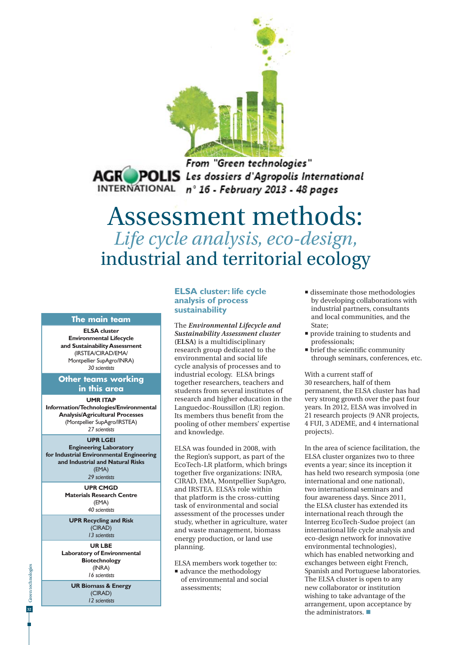

From "Green technologies" **AGROPOLIS** Les dossiers d'Agropolis International INTERNATIONAL n° 16 - February 2013 - 48 pages

# Assessment methods: *Life cycle analysis, eco-design,*  industrial and territorial ecology

#### **The main team**

**ELSA cluster Environmental Lifecycle and Sustainability Assessment** (IRSTEA/CIRAD/EMA/ Montpellier SupAgro/INRA) *30 scientists*

### **Other teams working in this area**

#### **UMR ITAP**

**Information/Technologies/Environmental Analysis/Agricultural Processes** (Montpellier SupAgro/IRSTEA) *27 scientists*

#### **UPR LGEI**

**Engineering Laboratory for Industrial Environmental Engineering and Industrial and Natural Risks** (EMA)

*29 scientists*

**UPR CMGD Materials Research Centre**  (EMA) *40 scientists*

**UPR Recycling and Risk**  (CIRAD) *13 scientists*

**UR LBE Laboratory of Environmental Biotechnology** (INRA) *16 scientists*

> **UR Biomass & Energy** (CIRAD) *12 scientists*

### **ELSA cluster: life cycle analysis of process sustainability**

The *Environmental Lifecycle and Sustainability Assessment cluster* **(ELSA)** is a multidisciplinary research group dedicated to the environmental and social life cycle analysis of processes and to industrial ecology. ELSA brings together researchers, teachers and students from several institutes of research and higher education in the Languedoc-Roussillon (LR) region. Its members thus benefit from the pooling of other members' expertise and knowledge.

ELSA was founded in 2008, with the Region's support, as part of the EcoTech-LR platform, which brings together five organizations: INRA, CIRAD, EMA, Montpellier SupAgro, and IRSTEA. ELSA's role within that platform is the cross-cutting task of environmental and social assessment of the processes under study, whether in agriculture, water and waste management, biomass energy production, or land use planning.

ELSA members work together to:

■ advance the methodology of environmental and social assessments;

- disseminate those methodologies by developing collaborations with industrial partners, consultants and local communities, and the State;
- **provide training to students and** professionals;
- $\blacksquare$  brief the scientific community through seminars, conferences, etc.

With a current staff of 30 researchers, half of them permanent, the ELSA cluster has had very strong growth over the past four years. In 2012, ELSA was involved in 21 research projects (9 ANR projects, 4 FUI, 3 ADEME, and 4 international projects).

In the area of science facilitation, the ELSA cluster organizes two to three events a year; since its inception it has held two research symposia (one international and one national), two international seminars and four awareness days. Since 2011, the ELSA cluster has extended its international reach through the Interreg EcoTech-Sudoe project (an international life cycle analysis and eco-design network for innovative environmental technologies), which has enabled networking and exchanges between eight French, Spanish and Portuguese laboratories. The ELSA cluster is open to any new collaborator or institution wishing to take advantage of the arrangement, upon acceptance by the administrators.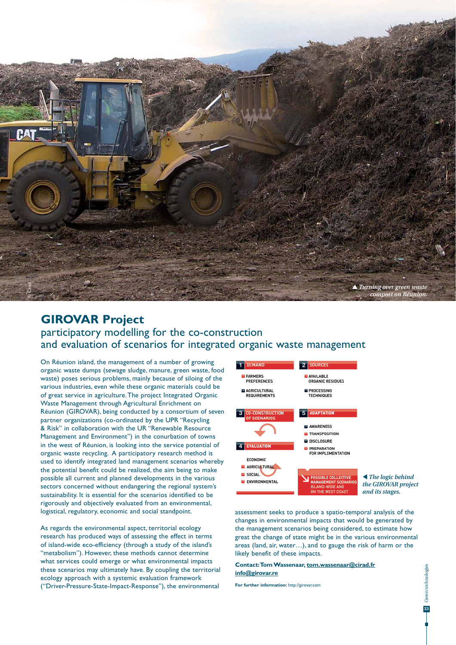

### **GIROVAR Project**  participatory modelling for the co-construction and evaluation of scenarios for integrated organic waste management

On Réunion island, the management of a number of growing organic waste dumps (sewage sludge, manure, green waste, food waste) poses serious problems, mainly because of siloing of the various industries, even while these organic materials could be of great service in agriculture. The project Integrated Organic Waste Management through Agricultural Enrichment on Réunion (GIROVAR), being conducted by a consortium of seven partner organizations (co-ordinated by the UPR "Recycling & Risk" in collaboration with the UR "Renewable Resource Management and Environment") in the conurbation of towns in the west of Réunion, is looking into the service potential of organic waste recycling. A participatory research method is used to identify integrated land management scenarios whereby the potential benefit could be realized, the aim being to make possible all current and planned developments in the various sectors concerned without endangering the regional system's sustainability. It is essential for the scenarios identified to be rigorously and objectively evaluated from an environmental, logistical, regulatory, economic and social standpoint.

As regards the environmental aspect, territorial ecology research has produced ways of assessing the effect in terms of island-wide eco-efficiency (through a study of the island's "metabolism"). However, these methods cannot determine what services could emerge or what environmental impacts these scenarios may ultimately have. By coupling the territorial ecology approach with a systemic evaluation framework ("Driver-Pressure-State-Impact-Response"), the environmental



assessment seeks to produce a spatio-temporal analysis of the changes in environmental impacts that would be generated by the management scenarios being considered, to estimate how great the change of state might be in the various environmental areas (land, air, water…), and to gauge the risk of harm or the likely benefit of these impacts.

#### **Contact: Tom Wassenaar, tom.wassenaar@cirad.fr info@girovar.re**

**For further information:** http://girovar.com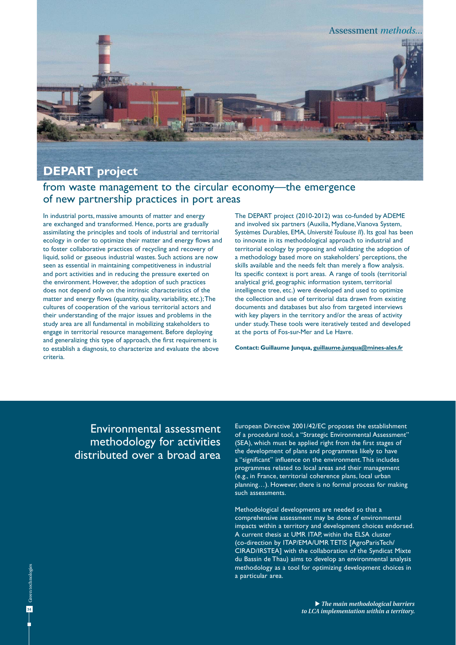

### from waste management to the circular economy—the emergence of new partnership practices in port areas

In industrial ports, massive amounts of matter and energy are exchanged and transformed. Hence, ports are gradually assimilating the principles and tools of industrial and territorial ecology in order to optimize their matter and energy flows and to foster collaborative practices of recycling and recovery of liquid, solid or gaseous industrial wastes. Such actions are now seen as essential in maintaining competitiveness in industrial and port activities and in reducing the pressure exerted on the environment. However, the adoption of such practices does not depend only on the intrinsic characteristics of the matter and energy flows (quantity, quality, variability, etc.); The cultures of cooperation of the various territorial actors and their understanding of the major issues and problems in the study area are all fundamental in mobilizing stakeholders to engage in territorial resource management. Before deploying and generalizing this type of approach, the first requirement is to establish a diagnosis, to characterize and evaluate the above criteria.

The DEPART project (2010-2012) was co-funded by ADEME and involved six partners (Auxilia, Mydiane, Vianova System, Systèmes Durables, EMA, *Université Toulouse II*). Its goal has been to innovate in its methodological approach to industrial and territorial ecology by proposing and validating the adoption of a methodology based more on stakeholders' perceptions, the skills available and the needs felt than merely a flow analysis. Its specific context is port areas. A range of tools (territorial analytical grid, geographic information system, territorial intelligence tree, etc.) were developed and used to optimize the collection and use of territorial data drawn from existing documents and databases but also from targeted interviews with key players in the territory and/or the areas of activity under study. These tools were iteratively tested and developed at the ports of Fos-sur-Mer and Le Havre.

**Contact: Guillaume Junqua, guillaume.junqua@mines-ales.fr**

## Environmental assessment methodology for activities distributed over a broad area

European Directive 2001/42/EC proposes the establishment of a procedural tool, a "Strategic Environmental Assessment" (SEA), which must be applied right from the first stages of the development of plans and programmes likely to have a "significant" influence on the environment. This includes programmes related to local areas and their management (e.g., in France, territorial coherence plans, local urban planning…). However, there is no formal process for making such assessments.

Methodological developments are needed so that a comprehensive assessment may be done of environmental impacts within a territory and development choices endorsed. A current thesis at UMR ITAP, within the ELSA cluster (co-direction by ITAP/EMA/UMR TETIS [AgroParisTech/ CIRAD/IRSTEA] with the collaboration of the Syndicat Mixte du Bassin de Thau) aims to develop an environmental analysis methodology as a tool for optimizing development choices in a particular area.